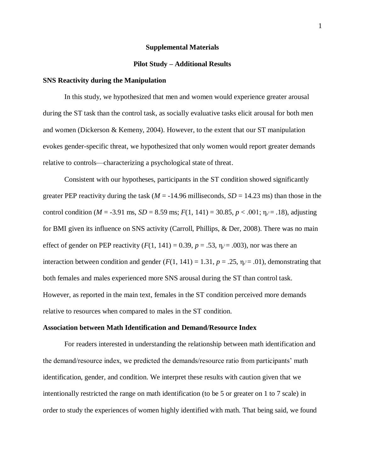#### **Supplemental Materials**

### **Pilot Study – Additional Results**

### **SNS Reactivity during the Manipulation**

In this study, we hypothesized that men and women would experience greater arousal during the ST task than the control task, as socially evaluative tasks elicit arousal for both men and women (Dickerson & Kemeny, 2004). However, to the extent that our ST manipulation evokes gender-specific threat, we hypothesized that only women would report greater demands relative to controls—characterizing a psychological state of threat.

Consistent with our hypotheses, participants in the ST condition showed significantly greater PEP reactivity during the task ( $M = -14.96$  milliseconds,  $SD = 14.23$  ms) than those in the control condition ( $M = -3.91$  ms,  $SD = 8.59$  ms;  $F(1, 141) = 30.85$ ,  $p < .001$ ;  $\eta_{p} = .18$ ), adjusting for BMI given its influence on SNS activity (Carroll, Phillips, & Der, 2008). There was no main effect of gender on PEP reactivity  $(F(1, 141) = 0.39, p = .53, \eta_{p} = .003)$ , nor was there an interaction between condition and gender  $(F(1, 141) = 1.31, p = .25, \eta_{p} = .01)$ , demonstrating that both females and males experienced more SNS arousal during the ST than control task. However, as reported in the main text, females in the ST condition perceived more demands relative to resources when compared to males in the ST condition.

#### **Association between Math Identification and Demand/Resource Index**

For readers interested in understanding the relationship between math identification and the demand/resource index, we predicted the demands/resource ratio from participants' math identification, gender, and condition. We interpret these results with caution given that we intentionally restricted the range on math identification (to be 5 or greater on 1 to 7 scale) in order to study the experiences of women highly identified with math. That being said, we found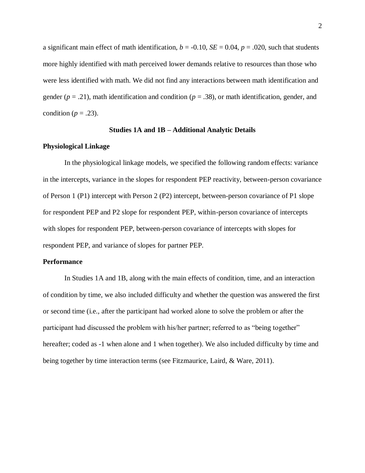a significant main effect of math identification,  $b = -0.10$ ,  $SE = 0.04$ ,  $p = .020$ , such that students more highly identified with math perceived lower demands relative to resources than those who were less identified with math. We did not find any interactions between math identification and gender ( $p = .21$ ), math identification and condition ( $p = .38$ ), or math identification, gender, and condition ( $p = .23$ ).

### **Studies 1A and 1B – Additional Analytic Details**

### **Physiological Linkage**

In the physiological linkage models, we specified the following random effects: variance in the intercepts, variance in the slopes for respondent PEP reactivity, between-person covariance of Person 1 (P1) intercept with Person 2 (P2) intercept, between-person covariance of P1 slope for respondent PEP and P2 slope for respondent PEP, within-person covariance of intercepts with slopes for respondent PEP, between-person covariance of intercepts with slopes for respondent PEP, and variance of slopes for partner PEP.

### **Performance**

In Studies 1A and 1B, along with the main effects of condition, time, and an interaction of condition by time, we also included difficulty and whether the question was answered the first or second time (i.e., after the participant had worked alone to solve the problem or after the participant had discussed the problem with his/her partner; referred to as "being together" hereafter; coded as -1 when alone and 1 when together). We also included difficulty by time and being together by time interaction terms (see Fitzmaurice, Laird, & Ware, 2011).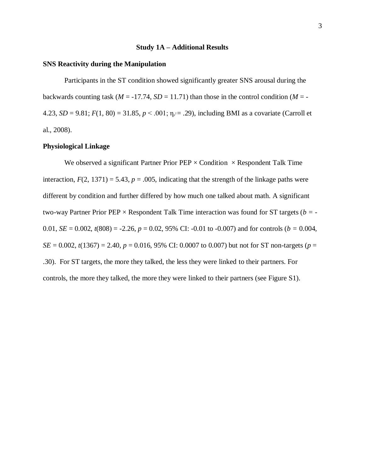# **Study 1A – Additional Results**

### **SNS Reactivity during the Manipulation**

Participants in the ST condition showed significantly greater SNS arousal during the backwards counting task ( $M = -17.74$ ,  $SD = 11.71$ ) than those in the control condition ( $M = -17.74$ 4.23, *SD* = 9.81;  $F(1, 80) = 31.85$ ,  $p < .001$ ;  $\eta_{p} = .29$ ), including BMI as a covariate (Carroll et al., 2008).

# **Physiological Linkage**

We observed a significant Partner Prior PEP  $\times$  Condition  $\times$  Respondent Talk Time interaction,  $F(2, 1371) = 5.43$ ,  $p = .005$ , indicating that the strength of the linkage paths were different by condition and further differed by how much one talked about math. A significant two-way Partner Prior PEP × Respondent Talk Time interaction was found for ST targets (*b =* - 0.01, *SE* = 0.002,  $t(808) = -2.26$ ,  $p = 0.02$ , 95% CI: -0.01 to -0.007) and for controls ( $b = 0.004$ , *SE* = 0.002,  $t(1367)$  = 2.40,  $p = 0.016$ , 95% CI: 0.0007 to 0.007) but not for ST non-targets ( $p =$ .30). For ST targets, the more they talked, the less they were linked to their partners. For controls, the more they talked, the more they were linked to their partners (see Figure S1).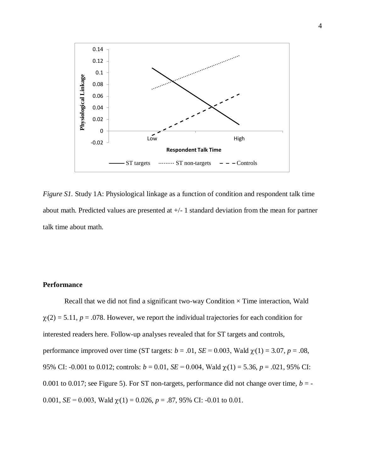

*Figure S1.* Study 1A: Physiological linkage as a function of condition and respondent talk time about math. Predicted values are presented at +/- 1 standard deviation from the mean for partner talk time about math.

# **Performance**

Recall that we did not find a significant two-way Condition  $\times$  Time interaction, Wald  $\chi$ <sup>2</sup>(2) = 5.11, *p* = .078. However, we report the individual trajectories for each condition for interested readers here. Follow-up analyses revealed that for ST targets and controls, performance improved over time (ST targets:  $b = .01$ ,  $SE = 0.003$ , Wald  $\chi(1) = 3.07$ ,  $p = .08$ , 95% CI: -0.001 to 0.012; controls:  $b = 0.01$ ,  $SE = 0.004$ , Wald  $\chi(1) = 5.36$ ,  $p = .021$ , 95% CI: 0.001 to 0.017; see Figure 5). For ST non-targets, performance did not change over time,  $b = -$ 0.001,  $SE = 0.003$ , Wald  $\chi(1) = 0.026$ ,  $p = .87$ , 95% CI: -0.01 to 0.01.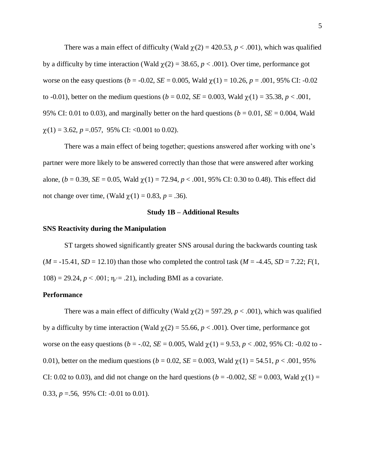There was a main effect of difficulty (Wald  $\chi$ <sup>2</sup>(2) = 420.53, *p* < .001), which was qualified by a difficulty by time interaction (Wald  $\gamma(2) = 38.65$ ,  $p < .001$ ). Over time, performance got worse on the easy questions ( $b = -0.02$ ,  $SE = 0.005$ , Wald  $\gamma(1) = 10.26$ ,  $p = .001$ , 95% CI: -0.02 to -0.01), better on the medium questions ( $b = 0.02$ ,  $SE = 0.003$ , Wald  $\gamma(1) = 35.38$ ,  $p < .001$ , 95% CI: 0.01 to 0.03), and marginally better on the hard questions ( $b = 0.01$ ,  $SE = 0.004$ , Wald  $\chi$ <sup>2</sup>(1) = 3.62, *p* = 0.057, 95% CI: < 0.001 to 0.02).

There was a main effect of being together; questions answered after working with one's partner were more likely to be answered correctly than those that were answered after working alone, ( $b = 0.39$ ,  $SE = 0.05$ , Wald  $\chi(1) = 72.94$ ,  $p < .001$ , 95% CI: 0.30 to 0.48). This effect did not change over time, (Wald  $\gamma$ <sup>2</sup>(1) = 0.83, *p* = .36).

# **Study 1B – Additional Results**

#### **SNS Reactivity during the Manipulation**

ST targets showed significantly greater SNS arousal during the backwards counting task  $(M = -15.41, SD = 12.10)$  than those who completed the control task  $(M = -4.45, SD = 7.22; F(1,$  $108$ ) = 29.24,  $p < .001$ ;  $\eta_{\rho} = .21$ ), including BMI as a covariate.

### **Performance**

There was a main effect of difficulty (Wald  $\chi$ <sup>2</sup>(2) = 597.29, *p* < .001), which was qualified by a difficulty by time interaction (Wald  $\chi$ <sup>2</sup>(2) = 55.66, *p* < .001). Over time, performance got worse on the easy questions ( $b = -0.02$ ,  $SE = 0.005$ , Wald  $\chi(1) = 9.53$ ,  $p < 0.002$ , 95% CI: -0.02 to -0.01), better on the medium questions ( $b = 0.02$ ,  $SE = 0.003$ , Wald  $\gamma(1) = 54.51$ ,  $p < .001$ , 95% CI: 0.02 to 0.03), and did not change on the hard questions ( $b = -0.002$ ,  $SE = 0.003$ , Wald  $\gamma(1) =$ 0.33,  $p = .56$ , 95% CI: -0.01 to 0.01).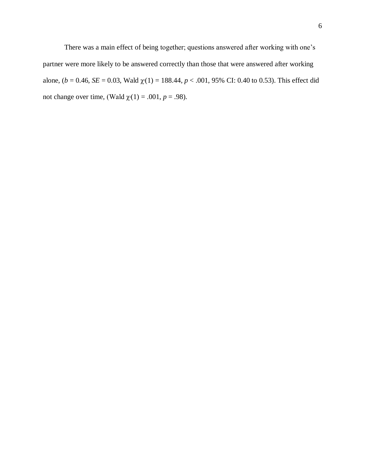There was a main effect of being together; questions answered after working with one's partner were more likely to be answered correctly than those that were answered after working alone, ( $b = 0.46$ ,  $SE = 0.03$ , Wald  $\chi(1) = 188.44$ ,  $p < .001$ , 95% CI: 0.40 to 0.53). This effect did not change over time, (Wald  $\chi(1) = .001$ ,  $p = .98$ ).